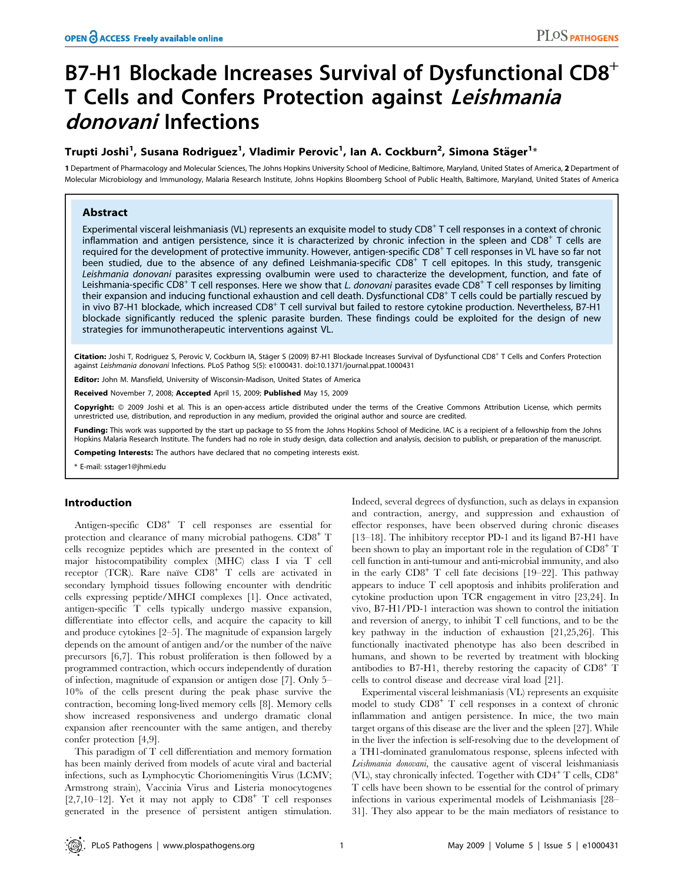# B7-H1 Blockade Increases Survival of Dysfunctional CD8<sup>+</sup> T Cells and Confers Protection against Leishmania donovani Infections

# Trupti Joshi<sup>1</sup>, Susana Rodriguez<sup>1</sup>, Vladimir Perovic<sup>1</sup>, Ian A. Cockburn<sup>2</sup>, Simona Stäger<sup>1</sup>\*

1 Department of Pharmacology and Molecular Sciences, The Johns Hopkins University School of Medicine, Baltimore, Maryland, United States of America, 2 Department of Molecular Microbiology and Immunology, Malaria Research Institute, Johns Hopkins Bloomberg School of Public Health, Baltimore, Maryland, United States of America

# Abstract

Experimental visceral leishmaniasis (VL) represents an exquisite model to study CD8<sup>+</sup> T cell responses in a context of chronic inflammation and antigen persistence, since it is characterized by chronic infection in the spleen and CD8<sup>+</sup> T cells are required for the development of protective immunity. However, antigen-specific CD8<sup>+</sup> T cell responses in VL have so far not been studied, due to the absence of any defined Leishmania-specific CD8<sup>+</sup> T cell epitopes. In this study, transgenic Leishmania donovani parasites expressing ovalbumin were used to characterize the development, function, and fate of Leishmania-specific CD8<sup>+</sup> T cell responses. Here we show that L. donovani parasites evade CD8<sup>+</sup> T cell responses by limiting their expansion and inducing functional exhaustion and cell death. Dysfunctional CD8<sup>+</sup> T cells could be partially rescued by in vivo B7-H1 blockade, which increased CD8<sup>+</sup> T cell survival but failed to restore cytokine production. Nevertheless, B7-H1 blockade significantly reduced the splenic parasite burden. These findings could be exploited for the design of new strategies for immunotherapeutic interventions against VL.

Citation: Joshi T, Rodriguez S, Perovic V, Cockburn IA, Stäger S (2009) B7-H1 Blockade Increases Survival of Dysfunctional CD8<sup>+</sup> T Cells and Confers Protection against Leishmania donovani Infections. PLoS Pathog 5(5): e1000431. doi:10.1371/journal.ppat.1000431

Editor: John M. Mansfield, University of Wisconsin-Madison, United States of America

Received November 7, 2008; Accepted April 15, 2009; Published May 15, 2009

Copyright: @ 2009 Joshi et al. This is an open-access article distributed under the terms of the Creative Commons Attribution License, which permits unrestricted use, distribution, and reproduction in any medium, provided the original author and source are credited.

Funding: This work was supported by the start up package to SS from the Johns Hopkins School of Medicine. IAC is a recipient of a fellowship from the Johns Hopkins Malaria Research Institute. The funders had no role in study design, data collection and analysis, decision to publish, or preparation of the manuscript.

Competing Interests: The authors have declared that no competing interests exist.

\* E-mail: sstager1@jhmi.edu

# Introduction

Antigen-specific CD8<sup>+</sup> T cell responses are essential for protection and clearance of many microbial pathogens. CD8<sup>+</sup> T cells recognize peptides which are presented in the context of major histocompatibility complex (MHC) class I via T cell receptor (TCR). Rare naïve CD8<sup>+</sup> T cells are activated in secondary lymphoid tissues following encounter with dendritic cells expressing peptide/MHCI complexes [1]. Once activated, antigen-specific T cells typically undergo massive expansion, differentiate into effector cells, and acquire the capacity to kill and produce cytokines [2–5]. The magnitude of expansion largely depends on the amount of antigen and/or the number of the naïve precursors [6,7]. This robust proliferation is then followed by a programmed contraction, which occurs independently of duration of infection, magnitude of expansion or antigen dose [7]. Only 5– 10% of the cells present during the peak phase survive the contraction, becoming long-lived memory cells [8]. Memory cells show increased responsiveness and undergo dramatic clonal expansion after reencounter with the same antigen, and thereby confer protection [4,9].

This paradigm of T cell differentiation and memory formation has been mainly derived from models of acute viral and bacterial infections, such as Lymphocytic Choriomeningitis Virus (LCMV; Armstrong strain), Vaccinia Virus and Listeria monocytogenes [2,7,10–12]. Yet it may not apply to  $CDB^+$  T cell responses generated in the presence of persistent antigen stimulation. Indeed, several degrees of dysfunction, such as delays in expansion and contraction, anergy, and suppression and exhaustion of effector responses, have been observed during chronic diseases [13–18]. The inhibitory receptor PD-1 and its ligand B7-H1 have been shown to play an important role in the regulation of  $CD8^+$  T cell function in anti-tumour and anti-microbial immunity, and also in the early  $CD8<sup>+</sup>$  T cell fate decisions [19–22]. This pathway appears to induce T cell apoptosis and inhibits proliferation and cytokine production upon TCR engagement in vitro [23,24]. In vivo, B7-H1/PD-1 interaction was shown to control the initiation and reversion of anergy, to inhibit T cell functions, and to be the key pathway in the induction of exhaustion [21,25,26]. This functionally inactivated phenotype has also been described in humans, and shown to be reverted by treatment with blocking antibodies to B7-H1, thereby restoring the capacity of CD8<sup>+</sup> T cells to control disease and decrease viral load [21].

Experimental visceral leishmaniasis (VL) represents an exquisite model to study CD8<sup>+</sup> T cell responses in a context of chronic inflammation and antigen persistence. In mice, the two main target organs of this disease are the liver and the spleen [27]. While in the liver the infection is self-resolving due to the development of a TH1-dominated granulomatous response, spleens infected with Leishmania donovani, the causative agent of visceral leishmaniasis (VL), stay chronically infected. Together with  $CD4^+$  T cells,  $CD8^+$ T cells have been shown to be essential for the control of primary infections in various experimental models of Leishmaniasis [28– 31]. They also appear to be the main mediators of resistance to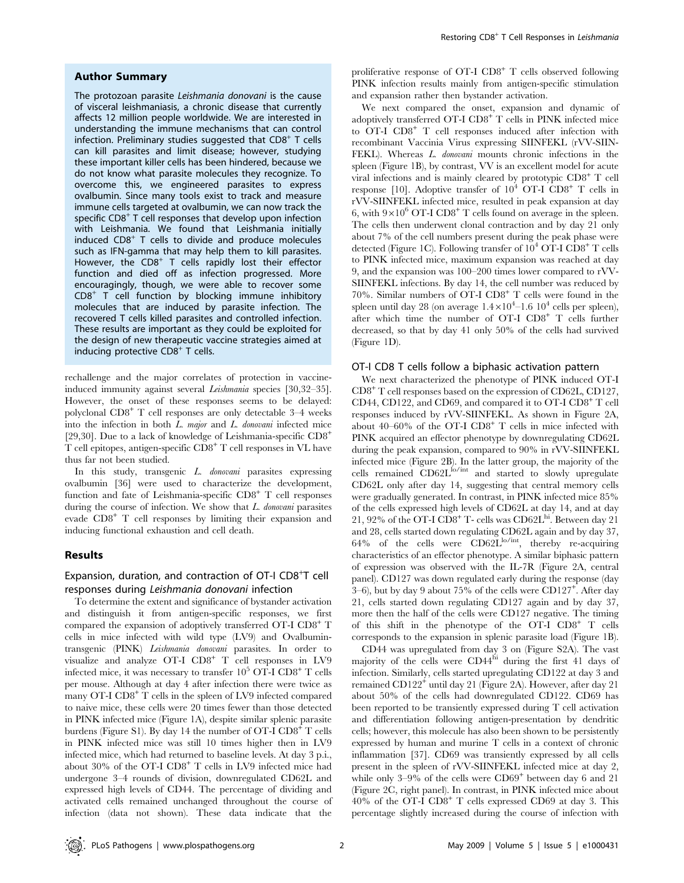#### Author Summary

The protozoan parasite Leishmania donovani is the cause of visceral leishmaniasis, a chronic disease that currently affects 12 million people worldwide. We are interested in understanding the immune mechanisms that can control infection. Preliminary studies suggested that  $CDS<sup>+</sup> T$  cells can kill parasites and limit disease; however, studying these important killer cells has been hindered, because we do not know what parasite molecules they recognize. To overcome this, we engineered parasites to express ovalbumin. Since many tools exist to track and measure immune cells targeted at ovalbumin, we can now track the specific CD8<sup>+</sup> T cell responses that develop upon infection with Leishmania. We found that Leishmania initially induced  $CDB<sup>+</sup>$  T cells to divide and produce molecules such as IFN-gamma that may help them to kill parasites. However, the  $CDS<sup>+</sup>$  T cells rapidly lost their effector function and died off as infection progressed. More encouragingly, though, we were able to recover some  $CDB<sup>+</sup>$  T cell function by blocking immune inhibitory molecules that are induced by parasite infection. The recovered T cells killed parasites and controlled infection. These results are important as they could be exploited for the design of new therapeutic vaccine strategies aimed at inducing protective  $CDS<sup>+</sup> T$  cells.

rechallenge and the major correlates of protection in vaccineinduced immunity against several Leishmania species [30,32–35]. However, the onset of these responses seems to be delayed: polyclonal CD8<sup>+</sup> T cell responses are only detectable 3–4 weeks into the infection in both  $L.$  major and  $L.$  donovani infected mice [29,30]. Due to a lack of knowledge of Leishmania-specific CD8<sup>+</sup> T cell epitopes, antigen-specific CD8<sup>+</sup> T cell responses in VL have thus far not been studied.

In this study, transgenic L. donovani parasites expressing ovalbumin [36] were used to characterize the development, function and fate of Leishmania-specific  $CD8<sup>+</sup>$  T cell responses during the course of infection. We show that  $L$ . donovani parasites evade CD8<sup>+</sup> T cell responses by limiting their expansion and inducing functional exhaustion and cell death.

# Results

# Expansion, duration, and contraction of OT-I CD8<sup>+</sup>T cell responses during Leishmania donovani infection

To determine the extent and significance of bystander activation and distinguish it from antigen-specific responses, we first compared the expansion of adoptively transferred OT-I CD8<sup>+</sup> T cells in mice infected with wild type (LV9) and Ovalbumintransgenic (PINK) Leishmania donovani parasites. In order to visualize and analyze OT-I CD8<sup>+</sup> T cell responses in LV9 infected mice, it was necessary to transfer  $10^5$  OT-I CD8<sup>+</sup> T cells per mouse. Although at day 4 after infection there were twice as many OT-I CD8<sup>+</sup> T cells in the spleen of LV9 infected compared to naive mice, these cells were 20 times fewer than those detected in PINK infected mice (Figure 1A), despite similar splenic parasite burdens (Figure S1). By day 14 the number of OT-I CD8<sup>+</sup> T cells in PINK infected mice was still 10 times higher then in LV9 infected mice, which had returned to baseline levels. At day 3 p.i., about 30% of the OT-I CD8<sup>+</sup> T cells in LV9 infected mice had undergone 3–4 rounds of division, downregulated CD62L and expressed high levels of CD44. The percentage of dividing and activated cells remained unchanged throughout the course of infection (data not shown). These data indicate that the

proliferative response of  $OT-I$   $CD8^+$  T cells observed following PINK infection results mainly from antigen-specific stimulation and expansion rather then bystander activation.

We next compared the onset, expansion and dynamic of adoptively transferred  $\text{OT-I}$   $\text{CD8}^+$  T cells in PINK infected mice to OT-I CD8<sup>+</sup> T cell responses induced after infection with recombinant Vaccinia Virus expressing SIINFEKL (rVV-SIIN-FEKL). Whereas L. donovani mounts chronic infections in the spleen (Figure 1B), by contrast, VV is an excellent model for acute viral infections and is mainly cleared by prototypic CD8<sup>+</sup> T cell response [10]. Adoptive transfer of  $10^4$  OT-I CD8<sup>+</sup> T cells in rVV-SIINFEKL infected mice, resulted in peak expansion at day 6, with  $9\times10^6$  OT-I CD8<sup>+</sup> T cells found on average in the spleen. The cells then underwent clonal contraction and by day 21 only about 7% of the cell numbers present during the peak phase were detected (Figure 1C). Following transfer of  $10^4$  OT-I CD8<sup>+</sup> T cells to PINK infected mice, maximum expansion was reached at day 9, and the expansion was 100–200 times lower compared to rVV-SIINFEKL infections. By day 14, the cell number was reduced by 70%. Similar numbers of OT-I CD8<sup>+</sup> T cells were found in the spleen until day 28 (on average  $1.4 \times 10^4$  –1.6  $10^4$  cells per spleen), after which time the number of OT-I  $CD8^+$  T cells further decreased, so that by day 41 only 50% of the cells had survived (Figure 1D).

#### OT-I CD8 T cells follow a biphasic activation pattern

We next characterized the phenotype of PINK induced OT-I CD8<sup>+</sup> T cell responses based on the expression of CD62L, CD127, CD44, CD122, and CD69, and compared it to OT-I  $CDS^+$  T cell responses induced by rVV-SIINFEKL. As shown in Figure 2A, about  $40-60\%$  of the OT-I CD8<sup>+</sup> T cells in mice infected with PINK acquired an effector phenotype by downregulating CD62L during the peak expansion, compared to 90% in rVV-SIINFEKL infected mice (Figure 2B). In the latter group, the majority of the cells remained CD62L<sup>lo/int</sup> and started to slowly upregulate CD62L only after day 14, suggesting that central memory cells were gradually generated. In contrast, in PINK infected mice 85% of the cells expressed high levels of CD62L at day 14, and at day 21, 92% of the OT-I  $CD8^+$  T- cells was  $CD62L^{\text{hi}}$ . Between day 21 and 28, cells started down regulating CD62L again and by day 37, 64% of the cells were  $CD62L^{\text{lo/int}}$ , thereby re-acquiring characteristics of an effector phenotype. A similar biphasic pattern of expression was observed with the IL-7R (Figure 2A, central panel). CD127 was down regulated early during the response (day 3–6), but by day 9 about 75% of the cells were  $CD127^+$ . After day 21, cells started down regulating CD127 again and by day 37, more then the half of the cells were CD127 negative. The timing of this shift in the phenotype of the OT-I CD8<sup>+</sup> T cells corresponds to the expansion in splenic parasite load (Figure 1B).

CD44 was upregulated from day 3 on (Figure S2A). The vast majority of the cells were CD44hi during the first 41 days of infection. Similarly, cells started upregulating CD122 at day 3 and remained CD122<sup>+</sup> until day 21 (Figure 2A). However, after day 21 about 50% of the cells had downregulated CD122. CD69 has been reported to be transiently expressed during T cell activation and differentiation following antigen-presentation by dendritic cells; however, this molecule has also been shown to be persistently expressed by human and murine T cells in a context of chronic inflammation [37]. CD69 was transiently expressed by all cells present in the spleen of rVV-SIINFEKL infected mice at day 2, while only  $3-9\%$  of the cells were  $CD69^+$  between day 6 and 21 (Figure 2C, right panel). In contrast, in PINK infected mice about  $40\%$  of the OT-I CD8<sup>+</sup> T cells expressed CD69 at day 3. This percentage slightly increased during the course of infection with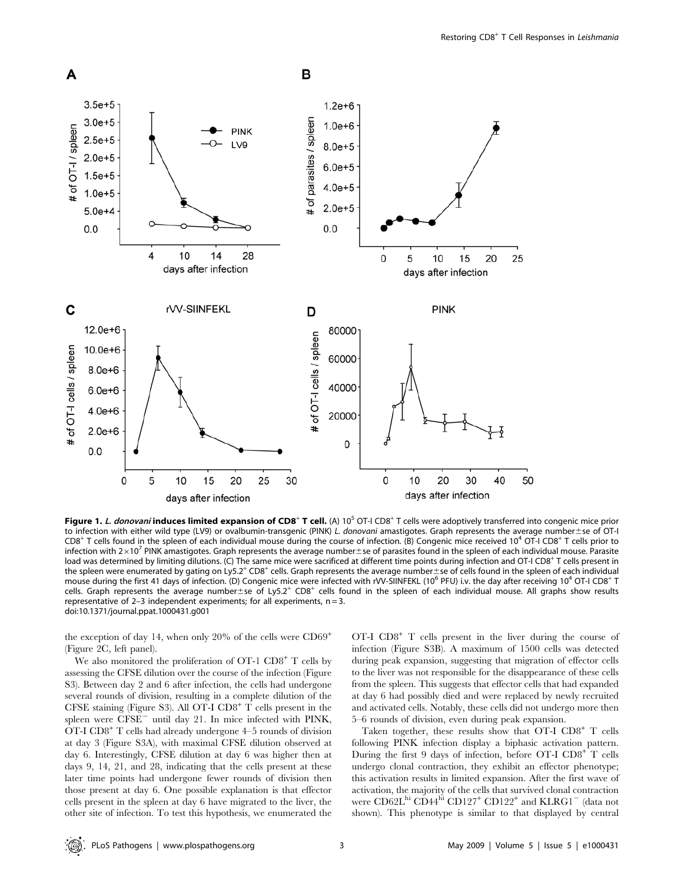

Figure 1. L. donovani induces limited expansion of CD8<sup>+</sup> T cell. (A) 10<sup>5</sup> OT-I CD8<sup>+</sup> T cells were adoptively transferred into congenic mice prior to infection with either wild type (LV9) or ovalbumin-transgenic (PINK) L. donovani amastigotes. Graph represents the average number±se of OT-I  $CD8^+$  T cells found in the spleen of each individual mouse during the course of infection. (B) Congenic mice received 10<sup>4</sup> OT-I CD8<sup>+</sup> T cells prior to infection with 2×10<sup>7</sup> PINK amastigotes. Graph represents the average number±se of parasites found in the spleen of each individual mouse. Parasite load was determined by limiting dilutions. (C) The same mice were sacrificed at different time points during infection and OT-I CD8<sup>+</sup> T cells present in the spleen were enumerated by gating on Ly5.2<sup>+</sup> CD8<sup>+</sup> cells. Graph represents the average number the of cells found in the spleen of each individual mouse during the first 41 days of infection. (D) Congenic mice were infected with rVV-SIINFEKL (10<sup>6</sup> PFU) i.v. the day after receiving 10<sup>4</sup> OT-I CD8<sup>+</sup> T cells. Graph represents the average number $\pm$ se of Ly5.2<sup>+</sup> CD8<sup>+</sup> cells found in the spleen of each individual mouse. All graphs show results representative of 2–3 independent experiments; for all experiments,  $n = 3$ . doi:10.1371/journal.ppat.1000431.g001

the exception of day 14, when only 20% of the cells were  $CD69^+$ (Figure 2C, left panel).

We also monitored the proliferation of  $OT-1$   $CD8^+$  T cells by assessing the CFSE dilution over the course of the infection (Figure S3). Between day 2 and 6 after infection, the cells had undergone several rounds of division, resulting in a complete dilution of the CFSE staining (Figure S3). All OT-I  $CDS^+$  T cells present in the spleen were  $CFSE^-$  until day 21. In mice infected with PINK, OT-I CD8<sup>+</sup> T cells had already undergone 4–5 rounds of division at day 3 (Figure S3A), with maximal CFSE dilution observed at day 6. Interestingly, CFSE dilution at day 6 was higher then at days 9, 14, 21, and 28, indicating that the cells present at these later time points had undergone fewer rounds of division then those present at day 6. One possible explanation is that effector cells present in the spleen at day 6 have migrated to the liver, the other site of infection. To test this hypothesis, we enumerated the

OT-I CD8<sup>+</sup> T cells present in the liver during the course of infection (Figure S3B). A maximum of 1500 cells was detected during peak expansion, suggesting that migration of effector cells to the liver was not responsible for the disappearance of these cells from the spleen. This suggests that effector cells that had expanded at day 6 had possibly died and were replaced by newly recruited and activated cells. Notably, these cells did not undergo more then 5–6 rounds of division, even during peak expansion.

Taken together, these results show that  $\text{OT-I } \text{CD}8^+ \text{ T }$  cells following PINK infection display a biphasic activation pattern. During the first 9 days of infection, before OT-I CD8<sup>+</sup> T cells undergo clonal contraction, they exhibit an effector phenotype; this activation results in limited expansion. After the first wave of activation, the majority of the cells that survived clonal contraction were  $CD62L<sup>hi</sup> CD44<sup>hi</sup> CD127<sup>+</sup> CD122<sup>+</sup>$  and  $KLRG1<sup>-</sup>$  (data not shown). This phenotype is similar to that displayed by central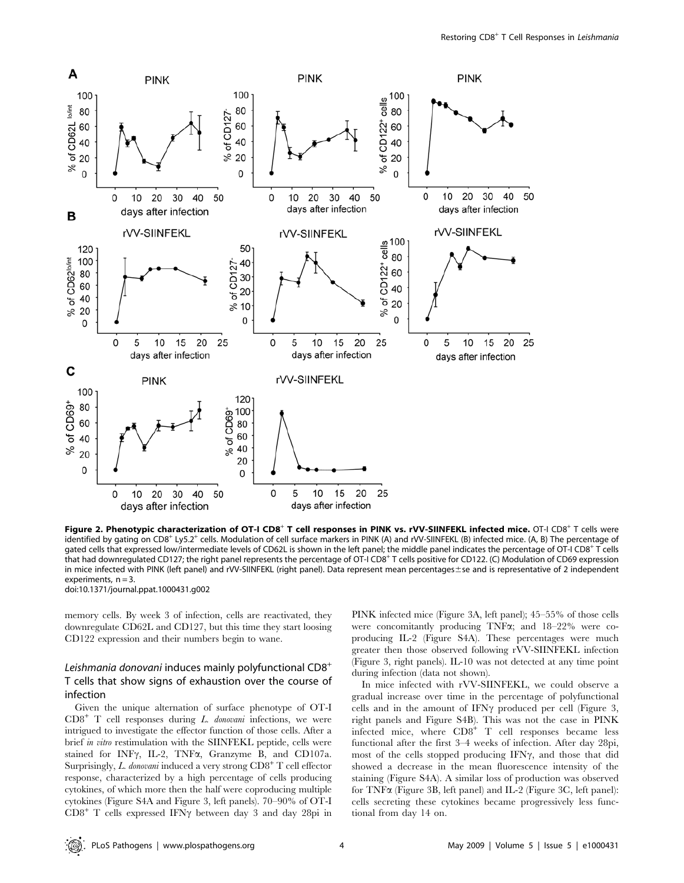

Figure 2. Phenotypic characterization of OT-I CD8<sup>+</sup> T cell responses in PINK vs. rVV-SIINFEKL infected mice. OT-I CD8<sup>+</sup> T cells were identified by gating on CD8<sup>+</sup> Ly5.2<sup>+</sup> cells. Modulation of cell surface markers in PINK (A) and rVV-SIINFEKL (B) infected mice. (A, B) The percentage of gated cells that expressed low/intermediate levels of CD62L is shown in the left panel; the middle panel indicates the percentage of OT-I CD8<sup>+</sup> T cells that had downregulated CD127; the right panel represents the percentage of OT-I CD8<sup>+</sup> T cells positive for CD122. (C) Modulation of CD69 expression in mice infected with PINK (left panel) and rVV-SIINFEKL (right panel). Data represent mean percentages ±se and is representative of 2 independent experiments,  $n = 3$ .

doi:10.1371/journal.ppat.1000431.g002

memory cells. By week 3 of infection, cells are reactivated, they downregulate CD62L and CD127, but this time they start loosing CD122 expression and their numbers begin to wane.

# Leishmania donovani induces mainly polyfunctional  $CDB^+$ T cells that show signs of exhaustion over the course of infection

Given the unique alternation of surface phenotype of OT-I  $CD8<sup>+</sup>$  T cell responses during *L. donovani* infections, we were intrigued to investigate the effector function of those cells. After a brief in vitro restimulation with the SIINFEKL peptide, cells were stained for INF $\gamma$ , IL-2, TNF $\alpha$ , Granzyme B, and CD107a. Surprisingly, L. donovani induced a very strong  $CD8<sup>+</sup>$  T cell effector response, characterized by a high percentage of cells producing cytokines, of which more then the half were coproducing multiple cytokines (Figure S4A and Figure 3, left panels). 70–90% of OT-I  $CD8<sup>+</sup>$  T cells expressed IFN $\gamma$  between day 3 and day 28pi in PINK infected mice (Figure 3A, left panel); 45–55% of those cells were concomitantly producing TNFa; and 18–22% were coproducing IL-2 (Figure S4A). These percentages were much greater then those observed following rVV-SIINFEKL infection (Figure 3, right panels). IL-10 was not detected at any time point during infection (data not shown).

In mice infected with rVV-SIINFEKL, we could observe a gradual increase over time in the percentage of polyfunctional cells and in the amount of IFN $\gamma$  produced per cell (Figure 3, right panels and Figure S4B). This was not the case in PINK infected mice, where  $CDB^+$  T cell responses became less functional after the first 3–4 weeks of infection. After day 28pi, most of the cells stopped producing IFN $\gamma$ , and those that did showed a decrease in the mean fluorescence intensity of the staining (Figure S4A). A similar loss of production was observed for TNFa (Figure 3B, left panel) and IL-2 (Figure 3C, left panel): cells secreting these cytokines became progressively less functional from day 14 on.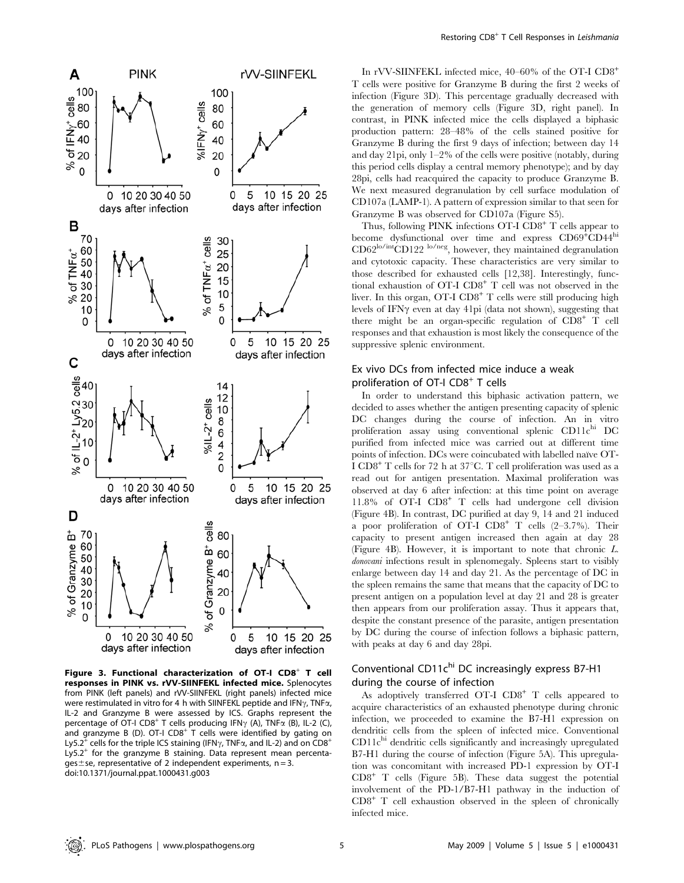

Figure 3. Functional characterization of OT-I  $CDS^+$  T cell responses in PINK vs. rVV-SIINFEKL infected mice. Splenocytes from PINK (left panels) and rVV-SIINFEKL (right panels) infected mice were restimulated in vitro for 4 h with SIINFEKL peptide and IFN $\gamma$ , TNF $\alpha$ , IL-2 and Granzyme B were assessed by ICS. Graphs represent the percentage of OT-I CD8<sup>+</sup> T cells producing IFN $\gamma$  (A), TNF $\alpha$  (B), IL-2 (C), and granzyme B (D). OT-I CD8<sup>+</sup> T cells were identified by gating on Ly5.2<sup>+</sup> cells for the triple ICS staining (IFN $\gamma$ , TNF $\alpha$ , and IL-2) and on CD8<sup>+</sup> Ly5.2<sup>+</sup> for the granzyme B staining. Data represent mean percentages  $\pm$  se, representative of 2 independent experiments, n = 3. doi:10.1371/journal.ppat.1000431.g003

In rVV-SIINFEKL infected mice, 40–60% of the OT-I CD8<sup>+</sup> T cells were positive for Granzyme B during the first 2 weeks of infection (Figure 3D). This percentage gradually decreased with the generation of memory cells (Figure 3D, right panel). In contrast, in PINK infected mice the cells displayed a biphasic production pattern: 28–48% of the cells stained positive for Granzyme B during the first 9 days of infection; between day 14 and day 21pi, only 1–2% of the cells were positive (notably, during this period cells display a central memory phenotype); and by day 28pi, cells had reacquired the capacity to produce Granzyme B. We next measured degranulation by cell surface modulation of CD107a (LAMP-1). A pattern of expression similar to that seen for Granzyme B was observed for CD107a (Figure S5).

Thus, following PINK infections OT-I CD8<sup>+</sup> T cells appear to become dysfunctional over time and express CD69<sup>+</sup>CD44<sup>hi</sup> CD62<sup>lo/int</sup>CD122 <sup>lo/neg</sup>, however, they maintained degranulation and cytotoxic capacity. These characteristics are very similar to those described for exhausted cells [12,38]. Interestingly, functional exhaustion of OT-I CD8<sup>+</sup> T cell was not observed in the liver. In this organ, OT-I CD8<sup>+</sup> T cells were still producing high levels of IFN $\gamma$  even at day 41pi (data not shown), suggesting that there might be an organ-specific regulation of  $CDB^+$  T cell responses and that exhaustion is most likely the consequence of the suppressive splenic environment.

# Ex vivo DCs from infected mice induce a weak proliferation of OT-I  $CDS<sup>+</sup>$  T cells

In order to understand this biphasic activation pattern, we decided to asses whether the antigen presenting capacity of splenic DC changes during the course of infection. An in vitro proliferation assay using conventional splenic  $CD11c^{\text{hi}}$  DC purified from infected mice was carried out at different time points of infection. DCs were coincubated with labelled naïve OT-I  $CDB^+$  T cells for 72 h at 37°C. T cell proliferation was used as a read out for antigen presentation. Maximal proliferation was observed at day 6 after infection: at this time point on average 11.8% of OT-I CD8<sup>+</sup> T cells had undergone cell division (Figure 4B). In contrast, DC purified at day 9, 14 and 21 induced a poor proliferation of OT-I  $CD8^+$  T cells  $(2-3.7\%)$ . Their capacity to present antigen increased then again at day 28 (Figure 4B). However, it is important to note that chronic L. donovani infections result in splenomegaly. Spleens start to visibly enlarge between day 14 and day 21. As the percentage of DC in the spleen remains the same that means that the capacity of DC to present antigen on a population level at day 21 and 28 is greater then appears from our proliferation assay. Thus it appears that, despite the constant presence of the parasite, antigen presentation by DC during the course of infection follows a biphasic pattern, with peaks at day 6 and day 28pi.

# Conventional CD11chi DC increasingly express B7-H1 during the course of infection

As adoptively transferred OT-I  $CD8^+$  T cells appeared to acquire characteristics of an exhausted phenotype during chronic infection, we proceeded to examine the B7-H1 expression on dendritic cells from the spleen of infected mice. Conventional  $CD11c<sup>hi</sup>$  dendritic cells significantly and increasingly upregulated B7-H1 during the course of infection (Figure 5A). This upregulation was concomitant with increased PD-1 expression by OT-I  $CD8<sup>+</sup>$  T cells (Figure 5B). These data suggest the potential involvement of the PD-1/B7-H1 pathway in the induction of  $CD8<sup>+</sup>$  T cell exhaustion observed in the spleen of chronically infected mice.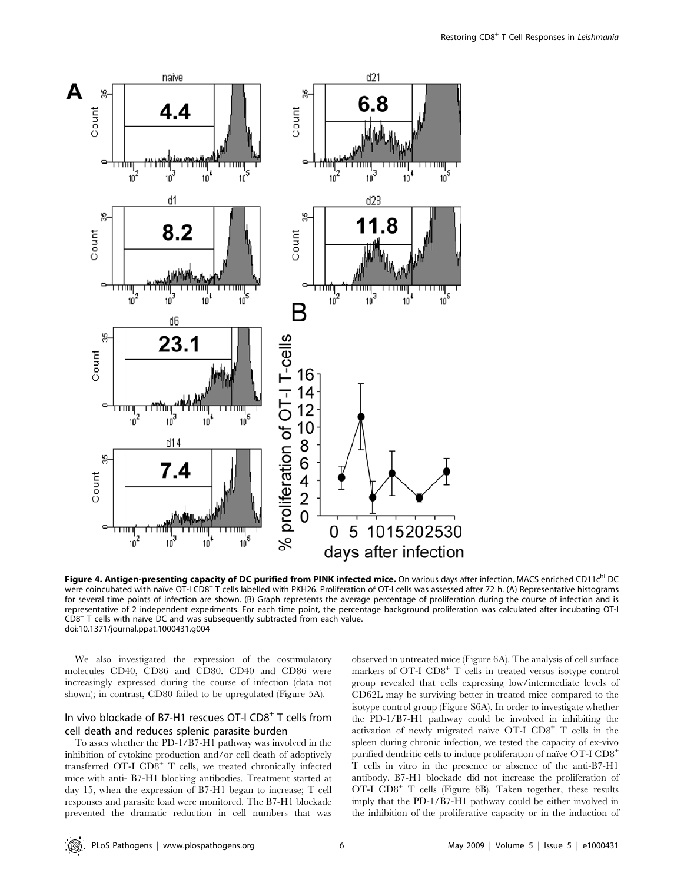

Figure 4. Antigen-presenting capacity of DC purified from PINK infected mice. On various days after infection, MACS enriched CD11c<sup>hi</sup> DC were coincubated with naïve OT-I CD8+ T cells labelled with PKH26. Proliferation of OT-I cells was assessed after 72 h. (A) Representative histograms for several time points of infection are shown. (B) Graph represents the average percentage of proliferation during the course of infection and is representative of 2 independent experiments. For each time point, the percentage background proliferation was calculated after incubating OT-I  $CD8<sup>+</sup>$  T cells with naı̈ve DC and was subsequently subtracted from each value. doi:10.1371/journal.ppat.1000431.g004

We also investigated the expression of the costimulatory molecules CD40, CD86 and CD80. CD40 and CD86 were increasingly expressed during the course of infection (data not shown); in contrast, CD80 failed to be upregulated (Figure 5A).

# In vivo blockade of B7-H1 rescues OT-I CD8<sup>+</sup> T cells from cell death and reduces splenic parasite burden

To asses whether the PD-1/B7-H1 pathway was involved in the inhibition of cytokine production and/or cell death of adoptively transferred OT-I CD8<sup>+</sup> T cells, we treated chronically infected mice with anti- B7-H1 blocking antibodies. Treatment started at day 15, when the expression of B7-H1 began to increase; T cell responses and parasite load were monitored. The B7-H1 blockade prevented the dramatic reduction in cell numbers that was observed in untreated mice (Figure 6A). The analysis of cell surface markers of  $OT-I$   $CD8<sup>+</sup>$  T cells in treated versus isotype control group revealed that cells expressing low/intermediate levels of CD62L may be surviving better in treated mice compared to the isotype control group (Figure S6A). In order to investigate whether the PD-1/B7-H1 pathway could be involved in inhibiting the activation of newly migrated naïve OT-I  $CDS^+$  T cells in the spleen during chronic infection, we tested the capacity of ex-vivo purified dendritic cells to induce proliferation of naïve OT-I  $\mathrm{CD8}^+$ T cells in vitro in the presence or absence of the anti-B7-H1 antibody. B7-H1 blockade did not increase the proliferation of OT-I CD8<sup>+</sup> T cells (Figure 6B). Taken together, these results imply that the PD-1/B7-H1 pathway could be either involved in the inhibition of the proliferative capacity or in the induction of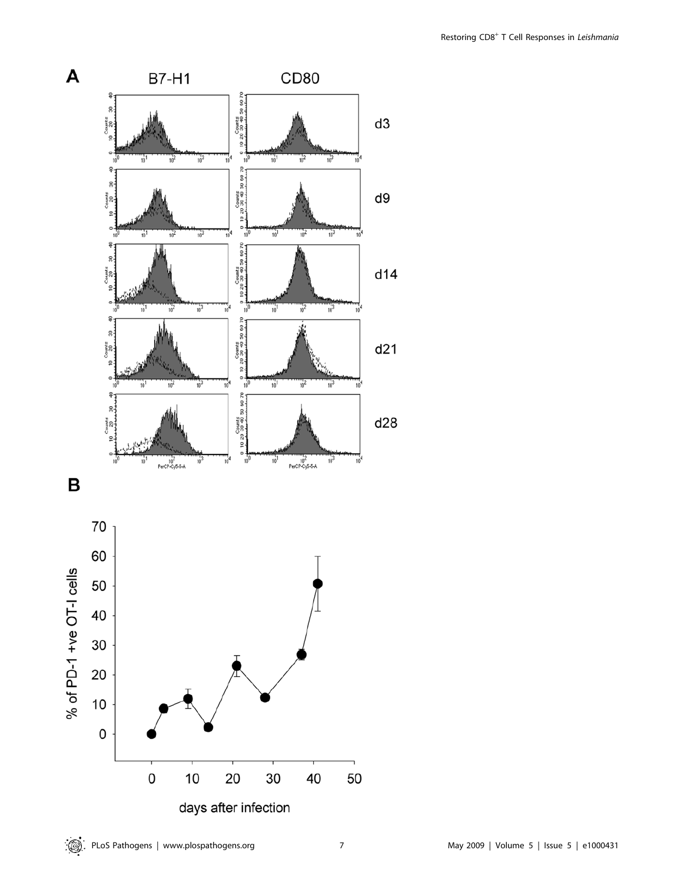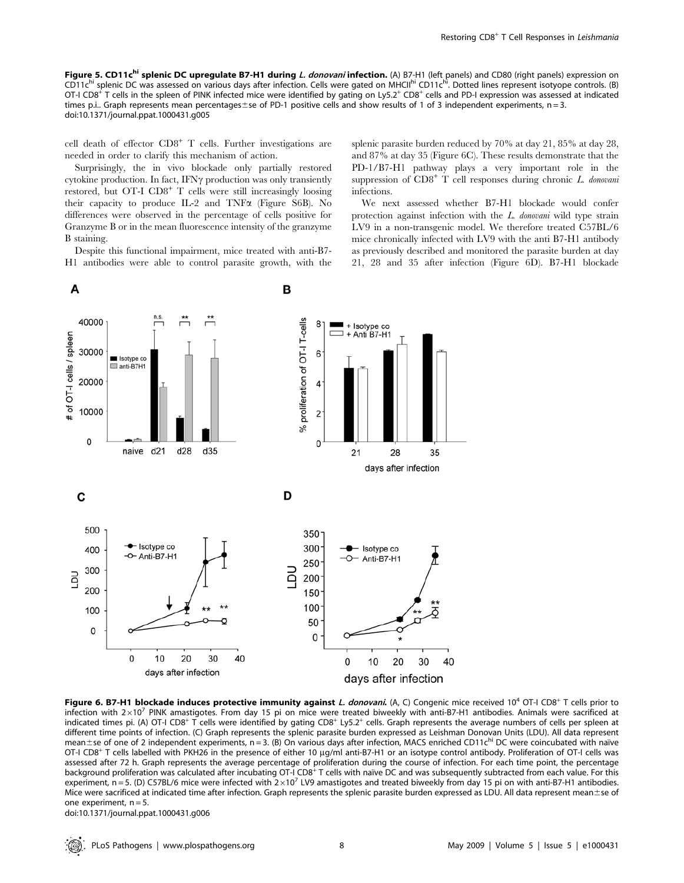Figure 5. CD11c<sup>hi</sup> splenic DC upregulate B7-H1 during L. donovani infection. (A) B7-H1 (left panels) and CD80 (right panels) expression on CD11c<sup>hi</sup> splenic DC was assessed on various days after infection. Cells were gated on MHCII<sup>hi</sup> CD11c<sup>hi</sup>. Dotted lines represent isotyope controls. (B) OT-I CD8<sup>+</sup> T cells in the spleen of PINK infected mice were identified by gating on Ly5.2<sup>+</sup> CD8<sup>+</sup> cells and PD-I expression was assessed at indicated times p.i.. Graph represents mean percentages et of PD-1 positive cells and show results of 1 of 3 independent experiments,  $n = 3$ . doi:10.1371/journal.ppat.1000431.g005

cell death of effector  $CD8<sup>+</sup>$  T cells. Further investigations are needed in order to clarify this mechanism of action.

Surprisingly, the in vivo blockade only partially restored cytokine production. In fact, IFN $\gamma$  production was only transiently restored, but  $\overline{OT-I}$   $\overline{CD8}^+$  T cells were still increasingly loosing their capacity to produce IL-2 and TNF $\alpha$  (Figure S6B). No differences were observed in the percentage of cells positive for Granzyme B or in the mean fluorescence intensity of the granzyme B staining.

Despite this functional impairment, mice treated with anti-B7- H1 antibodies were able to control parasite growth, with the splenic parasite burden reduced by 70% at day 21, 85% at day 28, and 87% at day 35 (Figure 6C). These results demonstrate that the PD-1/B7-H1 pathway plays a very important role in the suppression of  $CD8<sup>+</sup>$  T cell responses during chronic L. donovani infections.

We next assessed whether B7-H1 blockade would confer protection against infection with the L. donovani wild type strain LV9 in a non-transgenic model. We therefore treated C57BL/6 mice chronically infected with LV9 with the anti B7-H1 antibody as previously described and monitored the parasite burden at day 21, 28 and 35 after infection (Figure 6D). B7-H1 blockade



Figure 6. B7-H1 blockade induces protective immunity against L. donovani. (A, C) Congenic mice received  $10^4$  OT-I CD8<sup>+</sup> T cells prior to infection with  $2\times10^7$  PINK amastigotes. From day 15 pi on mice were treated biweekly with anti-B7-H1 antibodies. Animals were sacrificed at indicated times pi. (A) OT-I CD8<sup>+</sup> T cells were identified by gating CD8<sup>+</sup> Ly5.2<sup>+</sup> cells. Graph represents the average numbers of cells per spleen at different time points of infection. (C) Graph represents the splenic parasite burden expressed as Leishman Donovan Units (LDU). All data represent mean±se of one of 2 independent experiments, n = 3. (B) On various days after infection, MACS enriched CD11c<sup>hi</sup> DC were coincubated with naïve OT-I CD8<sup>+</sup> T cells labelled with PKH26 in the presence of either 10 µg/ml anti-B7-H1 or an isotype control antibody. Proliferation of OT-I cells was assessed after 72 h. Graph represents the average percentage of proliferation during the course of infection. For each time point, the percentage background proliferation was calculated after incubating OT-I CD8<sup>+</sup> T cells with naïve DC and was subsequently subtracted from each value. For this experiment, n = 5. (D) C57BL/6 mice were infected with  $2\times10^7$  LV9 amastigotes and treated biweekly from day 15 pi on with anti-B7-H1 antibodies. Mice were sacrificed at indicated time after infection. Graph represents the splenic parasite burden expressed as LDU. All data represent mean±se of one experiment,  $n = 5$ .

doi:10.1371/journal.ppat.1000431.g006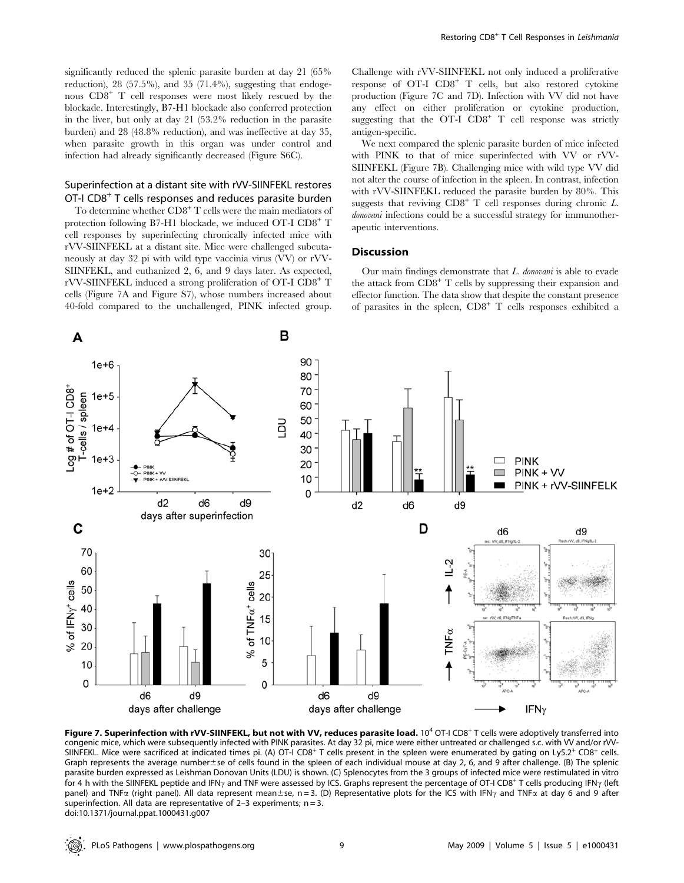significantly reduced the splenic parasite burden at day 21 (65% reduction), 28 (57.5%), and 35 (71.4%), suggesting that endogenous CD8<sup>+</sup> T cell responses were most likely rescued by the blockade. Interestingly, B7-H1 blockade also conferred protection in the liver, but only at day 21 (53.2% reduction in the parasite burden) and 28 (48.8% reduction), and was ineffective at day 35, when parasite growth in this organ was under control and infection had already significantly decreased (Figure S6C).

# Superinfection at a distant site with rVV-SIINFEKL restores OT-I CD8<sup>+</sup> T cells responses and reduces parasite burden

To determine whether  $CD8<sup>+</sup>$  T cells were the main mediators of protection following B7-H1 blockade, we induced OT-I CD8<sup>+</sup> T cell responses by superinfecting chronically infected mice with rVV-SIINFEKL at a distant site. Mice were challenged subcutaneously at day 32 pi with wild type vaccinia virus (VV) or rVV-SIINFEKL, and euthanized 2, 6, and 9 days later. As expected, rVV-SIINFEKL induced a strong proliferation of OT-I CD8<sup>+</sup> T cells (Figure 7A and Figure S7), whose numbers increased about 40-fold compared to the unchallenged, PINK infected group.

Challenge with rVV-SIINFEKL not only induced a proliferative response of OT-I CD8<sup>+</sup> T cells, but also restored cytokine production (Figure 7C and 7D). Infection with VV did not have any effect on either proliferation or cytokine production, suggesting that the  $OT-I$   $CD8^+$  T cell response was strictly antigen-specific.

We next compared the splenic parasite burden of mice infected with PINK to that of mice superinfected with VV or rVV-SIINFEKL (Figure 7B). Challenging mice with wild type VV did not alter the course of infection in the spleen. In contrast, infection with rVV-SIINFEKL reduced the parasite burden by 80%. This suggests that reviving  $CDB^+$  T cell responses during chronic L. donovani infections could be a successful strategy for immunotherapeutic interventions.

#### **Discussion**

Our main findings demonstrate that L. donovani is able to evade the attack from  $CD8<sup>+</sup>$  T cells by suppressing their expansion and effector function. The data show that despite the constant presence of parasites in the spleen,  $CD8<sup>+</sup>$  T cells responses exhibited a



Figure 7. Superinfection with rVV-SIINFEKL, but not with VV, reduces parasite load.  $10^4$  OT-I CD8<sup>+</sup> T cells were adoptively transferred into congenic mice, which were subsequently infected with PINK parasites. At day 32 pi, mice were either untreated or challenged s.c. with VV and/or rVV-SIINFEKL. Mice were sacrificed at indicated times pi. (A) OT-I CD8<sup>+</sup> T cells present in the spleen were enumerated by gating on Ly5.2<sup>+</sup> CD8<sup>+</sup> cells. Graph represents the average number±se of cells found in the spleen of each individual mouse at day 2, 6, and 9 after challenge. (B) The splenic parasite burden expressed as Leishman Donovan Units (LDU) is shown. (C) Splenocytes from the 3 groups of infected mice were restimulated in vitro for 4 h with the SIINFEKL peptide and IFN<sub>Y</sub> and TNF were assessed by ICS. Graphs represent the percentage of OT-I CD8<sup>+</sup> T cells producing IFN<sub>Y</sub> (left panel) and TNF $\alpha$  (right panel). All data represent mean±se, n = 3. (D) Representative plots for the ICS with IFN $\gamma$  and TNF $\alpha$  at day 6 and 9 after superinfection. All data are representative of  $2-3$  experiments;  $n = 3$ . doi:10.1371/journal.ppat.1000431.g007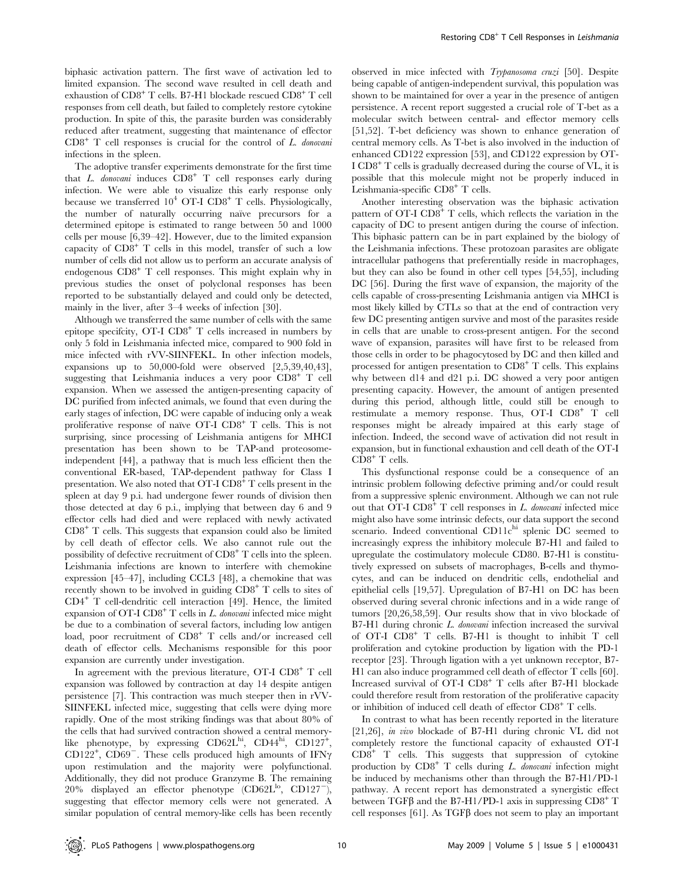biphasic activation pattern. The first wave of activation led to limited expansion. The second wave resulted in cell death and exhaustion of CD8<sup>+</sup> T cells. B7-H1 blockade rescued CD8<sup>+</sup> T cell responses from cell death, but failed to completely restore cytokine production. In spite of this, the parasite burden was considerably reduced after treatment, suggesting that maintenance of effector  $CD8<sup>+</sup>$  T cell responses is crucial for the control of L. donovani infections in the spleen.

The adoptive transfer experiments demonstrate for the first time that L. donovani induces  $CDB^+$  T cell responses early during infection. We were able to visualize this early response only because we transferred  $10^4$  OT-I CD8<sup>+</sup> T cells. Physiologically, the number of naturally occurring naïve precursors for a determined epitope is estimated to range between 50 and 1000 cells per mouse [6,39–42]. However, due to the limited expansion capacity of  $CDB^+$  T cells in this model, transfer of such a low number of cells did not allow us to perform an accurate analysis of endogenous  $CD8<sup>+</sup>$  T cell responses. This might explain why in previous studies the onset of polyclonal responses has been reported to be substantially delayed and could only be detected, mainly in the liver, after 3–4 weeks of infection [30].

Although we transferred the same number of cells with the same epitope specificity,  $\text{OT-I}$   $\text{CD8}^+$  T cells increased in numbers by only 5 fold in Leishmania infected mice, compared to 900 fold in mice infected with rVV-SIINFEKL. In other infection models, expansions up to 50,000-fold were observed [2,5,39,40,43], suggesting that Leishmania induces a very poor  $CDB^+$  T cell expansion. When we assessed the antigen-presenting capacity of DC purified from infected animals, we found that even during the early stages of infection, DC were capable of inducing only a weak proliferative response of naïve OT-I  $CD8^+$  T cells. This is not surprising, since processing of Leishmania antigens for MHCI presentation has been shown to be TAP-and proteosomeindependent [44], a pathway that is much less efficient then the conventional ER-based, TAP-dependent pathway for Class I presentation. We also noted that  $\overline{OT-I}$  CD8<sup>+</sup> T cells present in the spleen at day 9 p.i. had undergone fewer rounds of division then those detected at day 6 p.i., implying that between day 6 and 9 effector cells had died and were replaced with newly activated  $CD8<sup>+</sup>$  T cells. This suggests that expansion could also be limited by cell death of effector cells. We also cannot rule out the possibility of defective recruitment of  $CD8<sup>+</sup>$  T cells into the spleen. Leishmania infections are known to interfere with chemokine expression [45–47], including CCL3 [48], a chemokine that was recently shown to be involved in guiding  $CDB^+$  T cells to sites of CD4<sup>+</sup> T cell-dendritic cell interaction [49]. Hence, the limited expansion of OT-I  $CD8^+$  T cells in L. donovani infected mice might be due to a combination of several factors, including low antigen load, poor recruitment of CD8<sup>+</sup> T cells and/or increased cell death of effector cells. Mechanisms responsible for this poor expansion are currently under investigation.

In agreement with the previous literature, OT-I CD8<sup>+</sup> T cell expansion was followed by contraction at day 14 despite antigen persistence [7]. This contraction was much steeper then in rVV-SIINFEKL infected mice, suggesting that cells were dying more rapidly. One of the most striking findings was that about 80% of the cells that had survived contraction showed a central memorylike phenotype, by expressing  $C\text{D}62L^{\text{hi}}$ ,  $C\text{D}44^{\text{hi}}$ ,  $C\text{D}127^+$ , CD122<sup>+</sup>, CD69<sup>-</sup>. These cells produced high amounts of IFN $\gamma$ upon restimulation and the majority were polyfunctional. Additionally, they did not produce Granzyme B. The remaining 20% displayed an effector phenotype  $(CD62L^{lo}, CD127^{-})$ , suggesting that effector memory cells were not generated. A similar population of central memory-like cells has been recently

observed in mice infected with Trypanosoma cruzi [50]. Despite being capable of antigen-independent survival, this population was shown to be maintained for over a year in the presence of antigen persistence. A recent report suggested a crucial role of T-bet as a molecular switch between central- and effector memory cells [51,52]. T-bet deficiency was shown to enhance generation of central memory cells. As T-bet is also involved in the induction of enhanced CD122 expression [53], and CD122 expression by OT- $I$  CD8<sup>+</sup> T cells is gradually decreased during the course of VL, it is possible that this molecule might not be properly induced in Leishmania-specific CD8<sup>+</sup> T cells.

Another interesting observation was the biphasic activation pattern of OT-I CD8<sup>+</sup> T cells, which reflects the variation in the capacity of DC to present antigen during the course of infection. This biphasic pattern can be in part explained by the biology of the Leishmania infections. These protozoan parasites are obligate intracellular pathogens that preferentially reside in macrophages, but they can also be found in other cell types [54,55], including DC [56]. During the first wave of expansion, the majority of the cells capable of cross-presenting Leishmania antigen via MHCI is most likely killed by CTLs so that at the end of contraction very few DC presenting antigen survive and most of the parasites reside in cells that are unable to cross-present antigen. For the second wave of expansion, parasites will have first to be released from those cells in order to be phagocytosed by DC and then killed and processed for antigen presentation to  $CD8<sup>+</sup>$  T cells. This explains why between d14 and d21 p.i. DC showed a very poor antigen presenting capacity. However, the amount of antigen presented during this period, although little, could still be enough to restimulate a memory response. Thus, OT-I CD8<sup>+</sup> T cell responses might be already impaired at this early stage of infection. Indeed, the second wave of activation did not result in expansion, but in functional exhaustion and cell death of the OT-I  $CD8<sup>+</sup>$  T cells.

This dysfunctional response could be a consequence of an intrinsic problem following defective priming and/or could result from a suppressive splenic environment. Although we can not rule out that  $\text{OT-I}$   $\text{CD8}^+$  T cell responses in L. donovani infected mice might also have some intrinsic defects, our data support the second scenario. Indeed conventional CD11chi splenic DC seemed to increasingly express the inhibitory molecule B7-H1 and failed to upregulate the costimulatory molecule CD80. B7-H1 is constitutively expressed on subsets of macrophages, B-cells and thymocytes, and can be induced on dendritic cells, endothelial and epithelial cells [19,57]. Upregulation of B7-H1 on DC has been observed during several chronic infections and in a wide range of tumors [20,26,58,59]. Our results show that in vivo blockade of B7-H1 during chronic L. donovani infection increased the survival of OT-I CD8<sup>+</sup> T cells. B7-H1 is thought to inhibit T cell proliferation and cytokine production by ligation with the PD-1 receptor [23]. Through ligation with a yet unknown receptor, B7- H1 can also induce programmed cell death of effector T cells [60]. Increased survival of OT-I CD8<sup>+</sup> T cells after B7-H1 blockade could therefore result from restoration of the proliferative capacity or inhibition of induced cell death of effector CD8<sup>+</sup> T cells.

In contrast to what has been recently reported in the literature [21,26], in vivo blockade of B7-H1 during chronic VL did not completely restore the functional capacity of exhausted OT-I CD8<sup>+</sup> T cells. This suggests that suppression of cytokine production by  $CDB^+$  T cells during L. donovani infection might be induced by mechanisms other than through the B7-H1/PD-1 pathway. A recent report has demonstrated a synergistic effect between TGF $\beta$  and the B7-H1/PD-1 axis in suppressing CD8<sup>+</sup> T cell responses [61]. As  $TGF\beta$  does not seem to play an important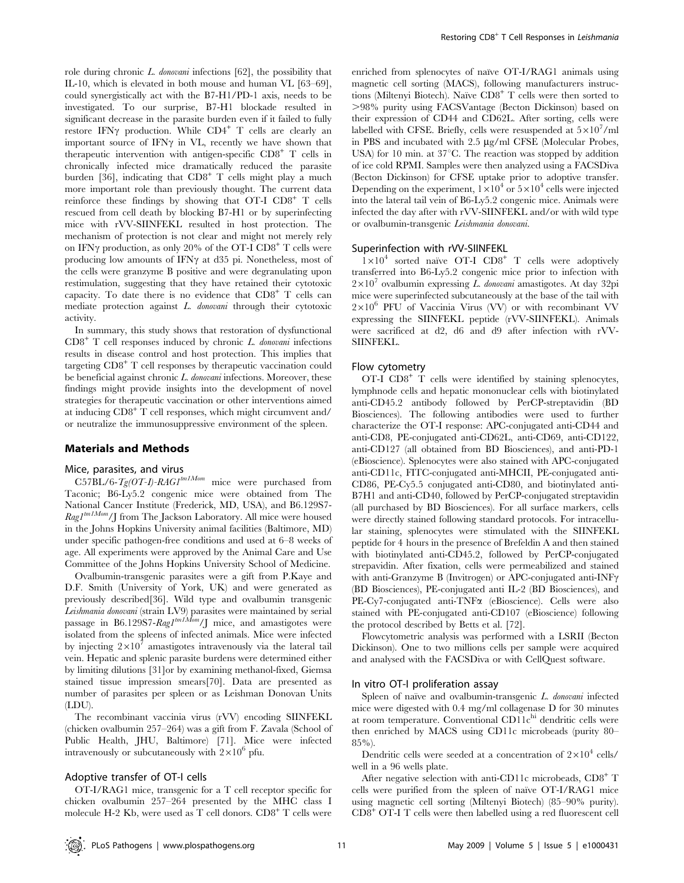role during chronic  $L$ . *donovani* infections  $[62]$ , the possibility that IL-10, which is elevated in both mouse and human VL [63–69], could synergistically act with the B7-H1/PD-1 axis, needs to be investigated. To our surprise, B7-H1 blockade resulted in significant decrease in the parasite burden even if it failed to fully restore IFN $\gamma$  production. While CD4<sup>+</sup> T cells are clearly an important source of IFN $\gamma$  in VL, recently we have shown that therapeutic intervention with antigen-specific  $CD8<sup>+</sup>$  T cells in chronically infected mice dramatically reduced the parasite burden [36], indicating that  $CD8<sup>+</sup>$  T cells might play a much more important role than previously thought. The current data reinforce these findings by showing that OT-I  $CDB^+$  T cells rescued from cell death by blocking B7-H1 or by superinfecting mice with rVV-SIINFEKL resulted in host protection. The mechanism of protection is not clear and might not merely rely on IFN $\gamma$  production, as only 20% of the OT-I CD8<sup>+</sup> T cells were producing low amounts of IFN $\gamma$  at d35 pi. Nonetheless, most of the cells were granzyme B positive and were degranulating upon restimulation, suggesting that they have retained their cytotoxic capacity. To date there is no evidence that  $CD8<sup>+</sup>$  T cells can mediate protection against L. donovani through their cytotoxic activity.

In summary, this study shows that restoration of dysfunctional  $CD8<sup>+</sup>$  T cell responses induced by chronic L. donovani infections results in disease control and host protection. This implies that targeting CD8<sup>+</sup> T cell responses by therapeutic vaccination could be beneficial against chronic L. donovani infections. Moreover, these findings might provide insights into the development of novel strategies for therapeutic vaccination or other interventions aimed at inducing CD8<sup>+</sup> T cell responses, which might circumvent and/ or neutralize the immunosuppressive environment of the spleen.

#### Materials and Methods

# Mice, parasites, and virus

 $C57BL/6-Tg(OT-I)$ -RAG1<sup>tm1Mom</sup> mice were purchased from Taconic; B6-Ly5.2 congenic mice were obtained from The National Cancer Institute (Frederick, MD, USA), and B6.129S7-  $\mathit{Rag1}^{tmIMom}/J$  from The Jackson Laboratory. All mice were housed in the Johns Hopkins University animal facilities (Baltimore, MD) under specific pathogen-free conditions and used at 6–8 weeks of age. All experiments were approved by the Animal Care and Use Committee of the Johns Hopkins University School of Medicine.

Ovalbumin-transgenic parasites were a gift from P.Kaye and D.F. Smith (University of York, UK) and were generated as previously described[36]. Wild type and ovalbumin transgenic Leishmania donovani (strain LV9) parasites were maintained by serial passage in B6.129S7-Rag1<sup>tm1Mom</sup>/J mice, and amastigotes were isolated from the spleens of infected animals. Mice were infected by injecting  $2\times10^7$  amastigotes intravenously via the lateral tail vein. Hepatic and splenic parasite burdens were determined either by limiting dilutions [31]or by examining methanol-fixed, Giemsa stained tissue impression smears[70]. Data are presented as number of parasites per spleen or as Leishman Donovan Units (LDU).

The recombinant vaccinia virus (rVV) encoding SIINFEKL (chicken ovalbumin 257–264) was a gift from F. Zavala (School of Public Health, JHU, Baltimore) [71]. Mice were infected intravenously or subcutaneously with  $2\times10^6$  pfu.

#### Adoptive transfer of OT-I cells

OT-I/RAG1 mice, transgenic for a T cell receptor specific for chicken ovalbumin 257–264 presented by the MHC class I molecule H-2 Kb, were used as  $T$  cell donors.  $CD8<sup>+</sup> T$  cells were

enriched from splenocytes of naïve OT-I/RAG1 animals using magnetic cell sorting (MACS), following manufacturers instructions (Miltenyi Biotech). Naïve  $CD8<sup>+</sup>$  T cells were then sorted to .98% purity using FACSVantage (Becton Dickinson) based on their expression of CD44 and CD62L. After sorting, cells were labelled with CFSE. Briefly, cells were resuspended at  $5\times10^7/\mathrm{ml}$ in PBS and incubated with  $2.5 \mu g/ml$  CFSE (Molecular Probes, USA) for 10 min. at  $37^{\circ}$ C. The reaction was stopped by addition of ice cold RPMI. Samples were then analyzed using a FACSDiva (Becton Dickinson) for CFSE uptake prior to adoptive transfer. Depending on the experiment,  $1\times10^4$  or  $5\times10^4$  cells were injected into the lateral tail vein of B6-Ly5.2 congenic mice. Animals were infected the day after with rVV-SIINFEKL and/or with wild type or ovalbumin-transgenic Leishmania donovani.

#### Superinfection with rVV-SIINFEKL

 $1\times10^4$  sorted naïve OT-I CD8<sup>+</sup> T cells were adoptively transferred into B6-Ly5.2 congenic mice prior to infection with  $2\times10^7$  ovalbumin expressing L. donovani amastigotes. At day 32pi mice were superinfected subcutaneously at the base of the tail with  $2\times10^6$  PFU of Vaccinia Virus (VV) or with recombinant VV expressing the SIINFEKL peptide (rVV-SIINFEKL). Animals were sacrificed at d2, d6 and d9 after infection with rVV-SIINFEKL.

#### Flow cytometry

 $\overline{OT-I}$  CD8<sup>+</sup> T cells were identified by staining splenocytes, lymphnode cells and hepatic mononuclear cells with biotinylated anti-CD45.2 antibody followed by PerCP-streptavidin (BD Biosciences). The following antibodies were used to further characterize the OT-I response: APC-conjugated anti-CD44 and anti-CD8, PE-conjugated anti-CD62L, anti-CD69, anti-CD122, anti-CD127 (all obtained from BD Biosciences), and anti-PD-1 (eBioscience). Splenocytes were also stained with APC-conjugated anti-CD11c, FITC-conjugated anti-MHCII, PE-conjugated anti-CD86, PE-Cy5.5 conjugated anti-CD80, and biotinylated anti-B7H1 and anti-CD40, followed by PerCP-conjugated streptavidin (all purchased by BD Biosciences). For all surface markers, cells were directly stained following standard protocols. For intracellular staining, splenocytes were stimulated with the SIINFEKL peptide for 4 hours in the presence of Brefeldin A and then stained with biotinylated anti-CD45.2, followed by PerCP-conjugated strepavidin. After fixation, cells were permeabilized and stained with anti-Granzyme B (Invitrogen) or APC-conjugated anti-INF $\gamma$ (BD Biosciences), PE-conjugated anti IL-2 (BD Biosciences), and PE-Cy7-conjugated anti-TNF $\alpha$  (eBioscience). Cells were also stained with PE-conjugated anti-CD107 (eBioscience) following the protocol described by Betts et al. [72].

Flowcytometric analysis was performed with a LSRII (Becton Dickinson). One to two millions cells per sample were acquired and analysed with the FACSDiva or with CellQuest software.

#### In vitro OT-I proliferation assay

Spleen of naïve and ovalbumin-transgenic  $L$ . donovani infected mice were digested with 0.4 mg/ml collagenase D for 30 minutes at room temperature. Conventional  $CD11c<sup>hi</sup>$  dendritic cells were then enriched by MACS using CD11c microbeads (purity 80–  $85\%$ ).

Dendritic cells were seeded at a concentration of  $2\times10^4$  cells/ well in a 96 wells plate.

After negative selection with anti-CD11c microbeads, CD8<sup>+</sup> T cells were purified from the spleen of naïve OT-I/RAG1 mice using magnetic cell sorting (Miltenyi Biotech) (85–90% purity). CD8<sup>+</sup> OT-I T cells were then labelled using a red fluorescent cell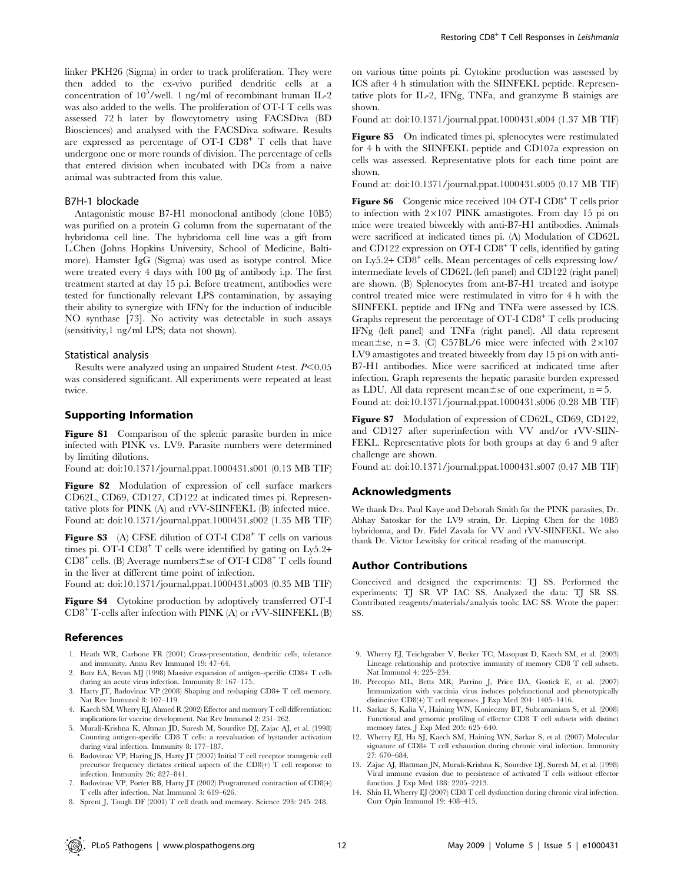linker PKH26 (Sigma) in order to track proliferation. They were then added to the ex-vivo purified dendritic cells at a concentration of 10<sup>5</sup>/well. 1 ng/ml of recombinant human IL-2 was also added to the wells. The proliferation of OT-I T cells was assessed 72 h later by flowcytometry using FACSDiva (BD Biosciences) and analysed with the FACSDiva software. Results are expressed as percentage of OT-I  $CDB^+$  T cells that have undergone one or more rounds of division. The percentage of cells that entered division when incubated with DCs from a naive animal was subtracted from this value.

# B7H-1 blockade

Antagonistic mouse B7-H1 monoclonal antibody (clone 10B5) was purified on a protein G column from the supernatant of the hybridoma cell line. The hybridoma cell line was a gift from L.Chen (Johns Hopkins University, School of Medicine, Baltimore). Hamster IgG (Sigma) was used as isotype control. Mice were treated every 4 days with  $100 \mu$ g of antibody i.p. The first treatment started at day 15 p.i. Before treatment, antibodies were tested for functionally relevant LPS contamination, by assaying their ability to synergize with  $IFN\gamma$  for the induction of inducible NO synthase [73]. No activity was detectable in such assays (sensitivity,1 ng/ml LPS; data not shown).

#### Statistical analysis

Results were analyzed using an unpaired Student *t*-test.  $P<0.05$ was considered significant. All experiments were repeated at least twice.

#### Supporting Information

Figure S1 Comparison of the splenic parasite burden in mice infected with PINK vs. LV9. Parasite numbers were determined by limiting dilutions.

Found at: doi:10.1371/journal.ppat.1000431.s001 (0.13 MB TIF)

Figure S2 Modulation of expression of cell surface markers CD62L, CD69, CD127, CD122 at indicated times pi. Representative plots for PINK (A) and rVV-SIINFEKL (B) infected mice. Found at: doi:10.1371/journal.ppat.1000431.s002 (1.35 MB TIF)

**Figure S3** (A) CFSE dilution of OT-I CD8<sup>+</sup> T cells on various times pi. OT-I  $CD8^+$  T cells were identified by gating on Ly5.2+  $CD8^+$  cells. (B) Average numbers $\pm$ se of OT-I CD8<sup>+</sup> T cells found in the liver at different time point of infection.

Found at: doi:10.1371/journal.ppat.1000431.s003 (0.35 MB TIF)

Figure S4 Cytokine production by adoptively transferred OT-I  $CD8<sup>+</sup>$  T-cells after infection with PINK (A) or rVV-SIINFEKL (B)

#### References

- 1. Heath WR, Carbone FR (2001) Cross-presentation, dendritic cells, tolerance and immunity. Annu Rev Immunol 19: 47–64.
- 2. Butz EA, Bevan MJ (1998) Massive expansion of antigen-specific CD8+ T cells during an acute virus infection. Immunity 8: 167–175.
- 3. Harty JT, Badovinac VP (2008) Shaping and reshaping CD8+ T cell memory. Nat Rev Immunol 8: 107–119.
- 4. Kaech SM, Wherry EJ, Ahmed R (2002) Effector and memory T cell differentiation: implications for vaccine development. Nat Rev Immunol 2: 251–262.
- 5. Murali-Krishna K, Altman JD, Suresh M, Sourdive DJ, Zajac AJ, et al. (1998) Counting antigen-specific CD8 T cells: a reevaluation of bystander activation during viral infection. Immunity 8: 177–187.
- 6. Badovinac VP, Haring JS, Harty JT (2007) Initial T cell receptor transgenic cell precursor frequency dictates critical aspects of the CD8(+) T cell response to infection. Immunity 26: 827–841.
- 7. Badovinac VP, Porter BB, Harty JT (2002) Programmed contraction of CD8(+) T cells after infection. Nat Immunol 3: 619–626.
- 8. Sprent J, Tough DF (2001) T cell death and memory. Science 293: 245–248.

on various time points pi. Cytokine production was assessed by ICS after 4 h stimulation with the SIINFEKL peptide. Representative plots for IL-2, IFNg, TNFa, and granzyme B stainigs are shown.

Found at: doi:10.1371/journal.ppat.1000431.s004 (1.37 MB TIF)

Figure S5 On indicated times pi, splenocytes were restimulated for 4 h with the SIINFEKL peptide and CD107a expression on cells was assessed. Representative plots for each time point are shown.

Found at: doi:10.1371/journal.ppat.1000431.s005 (0.17 MB TIF)

Figure S6 Congenic mice received 104 OT-I CD8<sup>+</sup> T cells prior to infection with  $2\times107$  PINK amastigotes. From day 15 pi on mice were treated biweekly with anti-B7-H1 antibodies. Animals were sacrificed at indicated times pi. (A) Modulation of CD62L and CD122 expression on OT-I  $CD8<sup>+</sup>$  T cells, identified by gating on Ly5.2+ CD8<sup>+</sup> cells. Mean percentages of cells expressing low/ intermediate levels of CD62L (left panel) and CD122 (right panel) are shown. (B) Splenocytes from ant-B7-H1 treated and isotype control treated mice were restimulated in vitro for 4 h with the SIINFEKL peptide and IFNg and TNFa were assessed by ICS. Graphs represent the percentage of  $\text{OT-I } \text{CD8}^+ \text{T}$  cells producing IFNg (left panel) and TNFa (right panel). All data represent mean $\pm$ se, n = 3. (C) C57BL/6 mice were infected with 2×107 LV9 amastigotes and treated biweekly from day 15 pi on with anti-B7-H1 antibodies. Mice were sacrificed at indicated time after infection. Graph represents the hepatic parasite burden expressed as LDU. All data represent mean $\pm$ se of one experiment, n = 5. Found at: doi:10.1371/journal.ppat.1000431.s006 (0.28 MB TIF)

Figure S7 Modulation of expression of CD62L, CD69, CD122, and CD127 after superinfection with VV and/or rVV-SIIN-FEKL. Representative plots for both groups at day 6 and 9 after challenge are shown.

Found at: doi:10.1371/journal.ppat.1000431.s007 (0.47 MB TIF)

# Acknowledgments

We thank Drs. Paul Kaye and Deborah Smith for the PINK parasites, Dr. Abhay Satoskar for the LV9 strain, Dr. Lieping Chen for the 10B5 hybridoma, and Dr. Fidel Zavala for VV and rVV-SIINFEKL. We also thank Dr. Victor Lewitsky for critical reading of the manuscript.

#### Author Contributions

Conceived and designed the experiments: TJ SS. Performed the experiments: TJ SR VP IAC SS. Analyzed the data: TJ SR SS. Contributed reagents/materials/analysis tools: IAC SS. Wrote the paper: SS.

- 9. Wherry EJ, Teichgraber V, Becker TC, Masopust D, Kaech SM, et al. (2003) Lineage relationship and protective immunity of memory CD8 T cell subsets. Nat Immunol 4: 225–234.
- 10. Precopio ML, Betts MR, Parrino J, Price DA, Gostick E, et al. (2007) Immunization with vaccinia virus induces polyfunctional and phenotypically distinctive CD8(+) T cell responses. J Exp Med 204: 1405–1416.
- 11. Sarkar S, Kalia V, Haining WN, Konieczny BT, Subramaniam S, et al. (2008) Functional and genomic profiling of effector CD8 T cell subsets with distinct memory fates. J Exp Med 205: 625–640.
- 12. Wherry EJ, Ha SJ, Kaech SM, Haining WN, Sarkar S, et al. (2007) Molecular signature of CD8+ T cell exhaustion during chronic viral infection. Immunity 27: 670–684.
- 13. Zajac AJ, Blattman JN, Murali-Krishna K, Sourdive DJ, Suresh M, et al. (1998) Viral immune evasion due to persistence of activated T cells without effector function. J Exp Med 188: 2205–2213.
- 14. Shin H, Wherry EJ (2007) CD8 T cell dysfunction during chronic viral infection. Curr Opin Immunol 19: 408–415.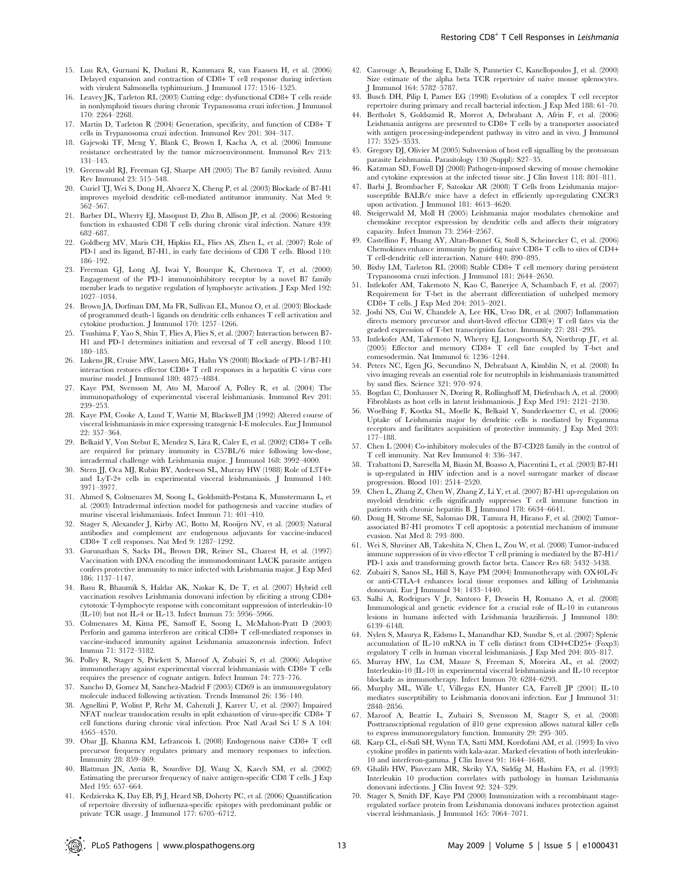- 15. Luu RA, Gurnani K, Dudani R, Kammara R, van Faassen H, et al. (2006) Delayed expansion and contraction of CD8+ T cell response during infection with virulent Salmonella typhimurium. J Immunol 177: 1516–1525.
- 16. Leavey JK, Tarleton RL (2003) Cutting edge: dysfunctional CD8+ T cells reside in nonlymphoid tissues during chronic Trypanosoma cruzi infection. J Immunol 170: 2264–2268.
- 17. Martin D, Tarleton R (2004) Generation, specificity, and function of CD8+ T cells in Trypanosoma cruzi infection. Immunol Rev 201: 304–317.
- 18. Gajewski TF, Meng Y, Blank C, Brown I, Kacha A, et al. (2006) Immune resistance orchestrated by the tumor microenvironment. Immunol Rev 213: 131–145.
- 19. Greenwald RJ, Freeman GJ, Sharpe AH (2005) The B7 family revisited. Annu Rev Immunol 23: 515–548.
- 20. Curiel TJ, Wei S, Dong H, Alvarez X, Cheng P, et al. (2003) Blockade of B7-H1 improves myeloid dendritic cell-mediated antitumor immunity. Nat Med 9: 562–567.
- 21. Barber DL, Wherry EJ, Masopust D, Zhu B, Allison JP, et al. (2006) Restoring function in exhausted CD8 T cells during chronic viral infection. Nature 439: 682–687.
- 22. Goldberg MV, Maris CH, Hipkiss EL, Flies AS, Zhen L, et al. (2007) Role of PD-1 and its ligand, B7-H1, in early fate decisions of CD8 T cells. Blood 110: 186–192.
- 23. Freeman GJ, Long AJ, Iwai Y, Bourque K, Chernova T, et al. (2000) Engagement of the PD-1 immunoinhibitory receptor by a novel B7 family member leads to negative regulation of lymphocyte activation. J Exp Med 192: 1027–1034.
- 24. Brown JA, Dorfman DM, Ma FR, Sullivan EL, Munoz O, et al. (2003) Blockade of programmed death-1 ligands on dendritic cells enhances T cell activation and cytokine production. J Immunol 170: 1257–1266.
- 25. Tsushima F, Yao S, Shin T, Flies A, Flies S, et al. (2007) Interaction between B7- H1 and PD-1 determines initiation and reversal of T cell anergy. Blood 110: 180–185.
- 26. Lukens JR, Cruise MW, Lassen MG, Hahn YS (2008) Blockade of PD-1/B7-H1 interaction restores effector CD8+ T cell responses in a hepatitis C virus core murine model. J Immunol 180: 4875–4884.
- 27. Kaye PM, Svensson M, Ato M, Maroof A, Polley R, et al. (2004) The immunopathology of experimental visceral leishmaniasis. Immunol Rev 201: 239–253.
- 28. Kaye PM, Cooke A, Lund T, Wattie M, Blackwell JM (1992) Altered course of visceral leishmaniasis in mice expressing transgenic I-E molecules. Eur J Immunol 22: 357–364.
- 29. Belkaid Y, Von Stebut E, Mendez S, Lira R, Caler E, et al. (2002) CD8+ T cells are required for primary immunity in C57BL/6 mice following low-dose, intradermal challenge with Leishmania major. J Immunol 168: 3992–4000.
- 30. Stern JJ, Oca MJ, Rubin BY, Anderson SL, Murray HW (1988) Role of L3T4+ and LyT-2+ cells in experimental visceral leishmaniasis. J Immunol 140: 3971–3977.
- 31. Ahmed S, Colmenares M, Soong L, Goldsmith-Pestana K, Munstermann L, et al. (2003) Intradermal infection model for pathogenesis and vaccine studies of murine visceral leishmaniasis. Infect Immun 71: 401–410.
- 32. Stager S, Alexander J, Kirby AC, Botto M, Rooijen NV, et al. (2003) Natural antibodies and complement are endogenous adjuvants for vaccine-induced CD8+ T cell responses. Nat Med 9: 1287–1292.
- 33. Gurunathan S, Sacks DL, Brown DR, Reiner SL, Charest H, et al. (1997) Vaccination with DNA encoding the immunodominant LACK parasite antigen confers protective immunity to mice infected with Leishmania major. J Exp Med 186: 1137–1147.
- 34. Basu R, Bhaumik S, Haldar AK, Naskar K, De T, et al. (2007) Hybrid cell vaccination resolves Leishmania donovani infection by eliciting a strong CD8+ cytotoxic T-lymphocyte response with concomitant suppression of interleukin-10 (IL-10) but not IL-4 or IL-13. Infect Immun 75: 5956–5966.
- 35. Colmenares M, Kima PE, Samoff E, Soong L, McMahon-Pratt D (2003) Perforin and gamma interferon are critical CD8+ T cell-mediated responses in vaccine-induced immunity against Leishmania amazonensis infection. Infect Immun 71: 3172–3182.
- 36. Polley R, Stager S, Prickett S, Maroof A, Zubairi S, et al. (2006) Adoptive immunotherapy against experimental visceral leishmaniasis with CD8+ T cells requires the presence of cognate antigen. Infect Immun 74: 773–776.
- 37. Sancho D, Gomez M, Sanchez-Madrid F (2005) CD69 is an immunoregulatory molecule induced following activation. Trends Immunol 26: 136–140.
- 38. Agnellini P, Wolint P, Rehr M, Cahenzli J, Karrer U, et al. (2007) Impaired NFAT nuclear translocation results in split exhaustion of virus-specific CD8+ T cell functions during chronic viral infection. Proc Natl Acad Sci U S A 104: 4565–4570.
- 39. Obar JJ, Khanna KM, Lefrancois L (2008) Endogenous naive CD8+ T cell precursor frequency regulates primary and memory responses to infection. Immunity 28: 859–869.
- 40. Blattman JN, Antia R, Sourdive DJ, Wang X, Kaech SM, et al. (2002) Estimating the precursor frequency of naive antigen-specific CD8 T cells. J Exp Med 195: 657–664.
- 41. Kedzierska K, Day EB, Pi J, Heard SB, Doherty PC, et al. (2006) Quantification of repertoire diversity of influenza-specific epitopes with predominant public or private TCR usage. J Immunol 177: 6705–6712.
- Restoring CD8<sup>+</sup> T Cell Responses in Leishmania
- 42. Casrouge A, Beaudoing E, Dalle S, Pannetier C, Kanellopoulos J, et al. (2000) Size estimate of the alpha beta TCR repertoire of naive mouse splenocytes. J Immunol 164: 5782–5787.
- 43. Busch DH, Pilip I, Pamer EG (1998) Evolution of a complex T cell receptor repertoire during primary and recall bacterial infection. J Exp Med 188: 61–70.
- 44. Bertholet S, Goldszmid R, Morrot A, Debrabant A, Afrin F, et al. (2006) Leishmania antigens are presented to CD8+ T cells by a transporter associated with antigen processing-independent pathway in vitro and in vivo. J Immunol 177: 3525–3533.
- 45. Gregory DJ, Olivier M (2005) Subversion of host cell signalling by the protozoan parasite Leishmania. Parasitology 130 (Suppl): S27–35.
- 46. Katzman SD, Fowell DJ (2008) Pathogen-imposed skewing of mouse chemokine and cytokine expression at the infected tissue site. J Clin Invest 118: 801–811.
- 47. Barbi J, Brombacher F, Satoskar AR (2008) T Cells from Leishmania majorsusceptible BALB/c mice have a defect in efficiently up-regulating CXCR3 upon activation. J Immunol 181: 4613–4620.
- 48. Steigerwald M, Moll H (2005) Leishmania major modulates chemokine and chemokine receptor expression by dendritic cells and affects their migratory capacity. Infect Immun 73: 2564–2567.
- 49. Castellino F, Huang AY, Altan-Bonnet G, Stoll S, Scheinecker C, et al. (2006) Chemokines enhance immunity by guiding naive CD8+ T cells to sites of CD4+ T cell-dendritic cell interaction. Nature 440: 890–895.
- 50. Bixby LM, Tarleton RL (2008) Stable CD8+ T cell memory during persistent Trypanosoma cruzi infection. J Immunol 181: 2644–2650.
- 51. Intlekofer AM, Takemoto N, Kao C, Banerjee A, Schambach F, et al. (2007) Requirement for T-bet in the aberrant differentiation of unhelped memory CD8+ T cells. J Exp Med 204: 2015–2021.
- 52. Joshi NS, Cui W, Chandele A, Lee HK, Urso DR, et al. (2007) Inflammation directs memory precursor and short-lived effector CD8(+) T cell fates via the graded expression of T-bet transcription factor. Immunity 27: 281–295.
- 53. Intlekofer AM, Takemoto N, Wherry EJ, Longworth SA, Northrup JT, et al. (2005) Effector and memory CD8+ T cell fate coupled by T-bet and eomesodermin. Nat Immunol 6: 1236–1244.
- 54. Peters NC, Egen JG, Secundino N, Debrabant A, Kimblin N, et al. (2008) In vivo imaging reveals an essential role for neutrophils in leishmaniasis transmitted by sand flies. Science 321: 970–974.
- 55. Bogdan C, Donhauser N, Doring R, Rollinghoff M, Diefenbach A, et al. (2000) Fibroblasts as host cells in latent leishmaniosis. J Exp Med 191: 2121–2130.
- 56. Woelbing F, Kostka SL, Moelle K, Belkaid Y, Sunderkoetter C, et al. (2006) Uptake of Leishmania major by dendritic cells is mediated by Fcgamma receptors and facilitates acquisition of protective immunity. J Exp Med 203: 177–188.
- 57. Chen L (2004) Co-inhibitory molecules of the B7-CD28 family in the control of T cell immunity. Nat Rev Immunol 4: 336–347.
- 58. Trabattoni D, Saresella M, Biasin M, Boasso A, Piacentini L, et al. (2003) B7-H1 is up-regulated in HIV infection and is a novel surrogate marker of disease progression. Blood 101: 2514–2520.
- 59. Chen L, Zhang Z, Chen W, Zhang Z, Li Y, et al. (2007) B7-H1 up-regulation on myeloid dendritic cells significantly suppresses T cell immune function in patients with chronic hepatitis B. J Immunol 178: 6634-6641.
- 60. Dong H, Strome SE, Salomao DR, Tamura H, Hirano F, et al. (2002) Tumorassociated B7-H1 promotes T cell apoptosis: a potential mechanism of immune evasion. Nat Med 8: 793–800.
- 61. Wei S, Shreiner AB, Takeshita N, Chen L, Zou W, et al. (2008) Tumor-induced immune suppression of in vivo effector T cell priming is mediated by the B7-H1/ PD-1 axis and transforming growth factor beta. Cancer Res 68: 5432–5438.
- 62. Zubairi S, Sanos SL, Hill S, Kaye PM (2004) Immunotherapy with OX40L-Fc or anti-CTLA-4 enhances local tissue responses and killing of Leishmania donovani. Eur J Immunol 34: 1433–1440.
- 63. Salhi A, Rodrigues V Jr, Santoro F, Dessein H, Romano A, et al. (2008) Immunological and genetic evidence for a crucial role of IL-10 in cutaneous lesions in humans infected with Leishmania braziliensis. J Immunol 180: 6139–6148.
- 64. Nylen S, Maurya R, Eidsmo L, Manandhar KD, Sundar S, et al. (2007) Splenic accumulation of IL-10 mRNA in T cells distinct from CD4+CD25+ (Foxp3) regulatory T cells in human visceral leishmaniasis. J Exp Med 204: 805–817.
- 65. Murray HW, Lu CM, Mauze S, Freeman S, Moreira AL, et al. (2002) Interleukin-10 (IL-10) in experimental visceral leishmaniasis and IL-10 receptor blockade as immunotherapy. Infect Immun 70: 6284–6293.
- 66. Murphy ML, Wille U, Villegas EN, Hunter CA, Farrell JP (2001) IL-10 mediates susceptibility to Leishmania donovani infection. Eur J Immunol 31: 2848–2856.
- 67. Maroof A, Beattie L, Zubairi S, Svensson M, Stager S, et al. (2008) Posttranscriptional regulation of il10 gene expression allows natural killer cells to express immunoregulatory function. Immunity 29: 295–305.
- 68. Karp CL, el-Safi SH, Wynn TA, Satti MM, Kordofani AM, et al. (1993) In vivo cytokine profiles in patients with kala-azar. Marked elevation of both interleukin-10 and interferon-gamma. J Clin Invest 91: 1644–1648.
- 69. Ghalib HW, Piuvezam MR, Skeiky YA, Siddig M, Hashim FA, et al. (1993) Interleukin 10 production correlates with pathology in human Leishmania donovani infections. J Clin Invest 92: 324–329.
- 70. Stager S, Smith DF, Kaye PM (2000) Immunization with a recombinant stageregulated surface protein from Leishmania donovani induces protection against visceral leishmaniasis. J Immunol 165: 7064–7071.